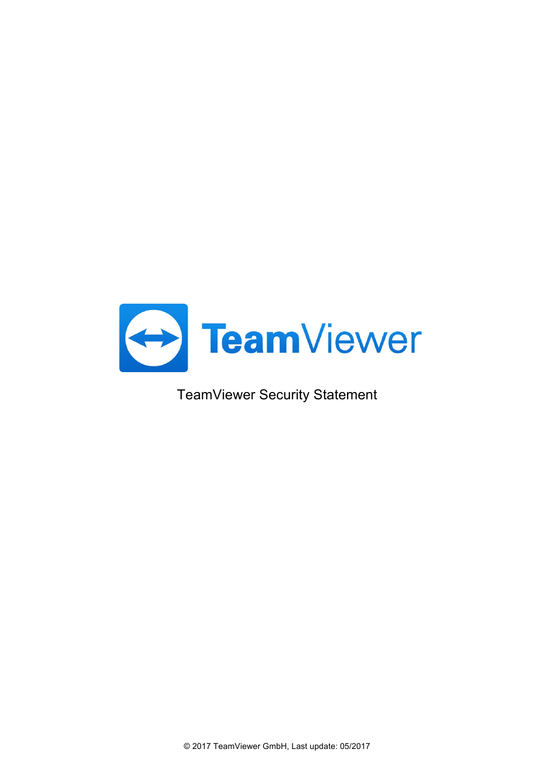

TeamViewer Security Statement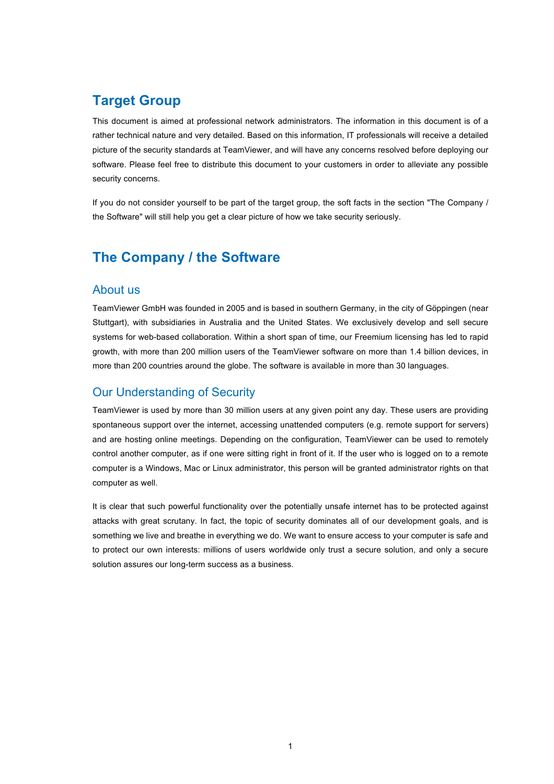# **Target Group**

This document is aimed at professional network administrators. The information in this document is of a rather technical nature and very detailed. Based on this information, IT professionals will receive a detailed picture of the security standards at TeamViewer, and will have any concerns resolved before deploying our software. Please feel free to distribute this document to your customers in order to alleviate any possible security concerns.

If you do not consider yourself to be part of the target group, the soft facts in the section "The Company / the Software" will still help you get a clear picture of how we take security seriously.

# **The Company / the Software**

#### About us

TeamViewer GmbH was founded in 2005 and is based in southern Germany, in the city of Göppingen (near Stuttgart), with subsidiaries in Australia and the United States. We exclusively develop and sell secure systems for web-based collaboration. Within a short span of time, our Freemium licensing has led to rapid growth, with more than 200 million users of the TeamViewer software on more than 1.4 billion devices, in more than 200 countries around the globe. The software is available in more than 30 languages.

### Our Understanding of Security

TeamViewer is used by more than 30 million users at any given point any day. These users are providing spontaneous support over the internet, accessing unattended computers (e.g. remote support for servers) and are hosting online meetings. Depending on the configuration, TeamViewer can be used to remotely control another computer, as if one were sitting right in front of it. If the user who is logged on to a remote computer is a Windows, Mac or Linux administrator, this person will be granted administrator rights on that computer as well.

It is clear that such powerful functionality over the potentially unsafe internet has to be protected against attacks with great scrutany. In fact, the topic of security dominates all of our development goals, and is something we live and breathe in everything we do. We want to ensure access to your computer is safe and to protect our own interests: millions of users worldwide only trust a secure solution, and only a secure solution assures our long-term success as a business.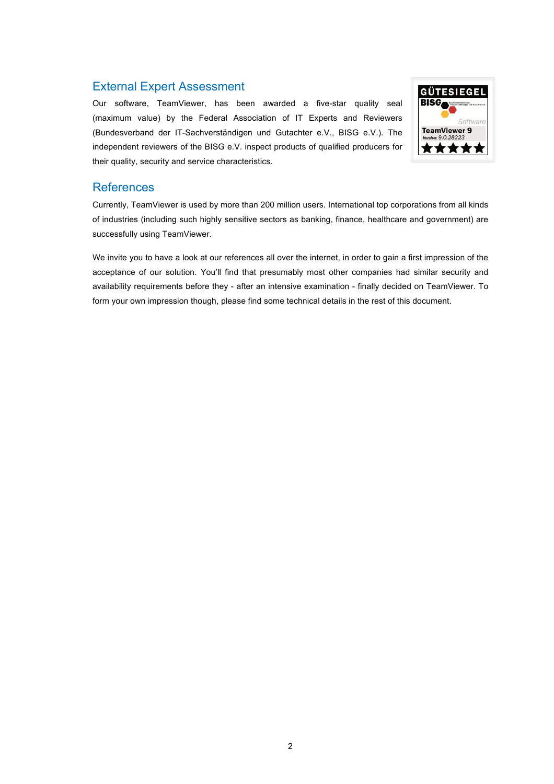### External Expert Assessment

Our software, TeamViewer, has been awarded a five-star quality seal (maximum value) by the Federal Association of IT Experts and Reviewers (Bundesverband der IT-Sachverständigen und Gutachter e.V., BISG e.V.). The independent reviewers of the BISG e.V. inspect products of qualified producers for their quality, security and service characteristics.



#### **References**

Currently, TeamViewer is used by more than 200 million users. International top corporations from all kinds of industries (including such highly sensitive sectors as banking, finance, healthcare and government) are successfully using TeamViewer.

We invite you to have a look at our references all over the internet, in order to gain a first impression of the acceptance of our solution. You'll find that presumably most other companies had similar security and availability requirements before they - after an intensive examination - finally decided on TeamViewer. To form your own impression though, please find some technical details in the rest of this document.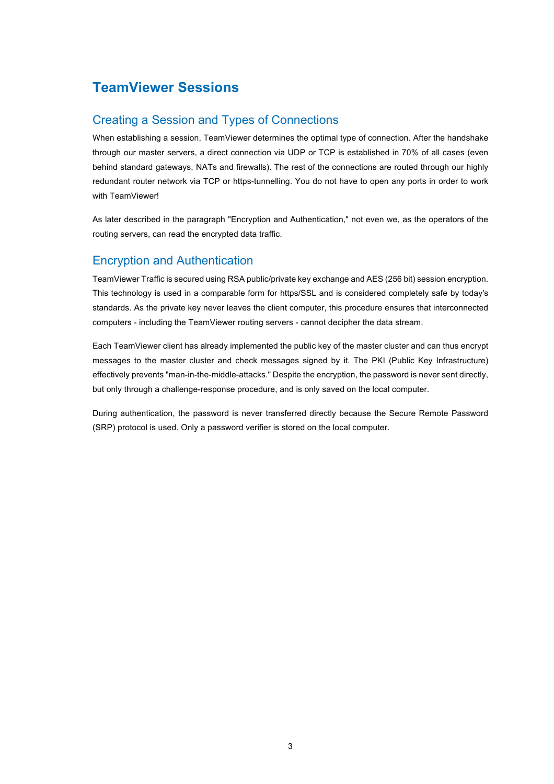# **TeamViewer Sessions**

### Creating a Session and Types of Connections

When establishing a session, TeamViewer determines the optimal type of connection. After the handshake through our master servers, a direct connection via UDP or TCP is established in 70% of all cases (even behind standard gateways, NATs and firewalls). The rest of the connections are routed through our highly redundant router network via TCP or https-tunnelling. You do not have to open any ports in order to work with TeamViewer!

As later described in the paragraph "Encryption and Authentication," not even we, as the operators of the routing servers, can read the encrypted data traffic.

### Encryption and Authentication

TeamViewer Traffic is secured using RSA public/private key exchange and AES (256 bit) session encryption. This technology is used in a comparable form for https/SSL and is considered completely safe by today's standards. As the private key never leaves the client computer, this procedure ensures that interconnected computers - including the TeamViewer routing servers - cannot decipher the data stream.

Each TeamViewer client has already implemented the public key of the master cluster and can thus encrypt messages to the master cluster and check messages signed by it. The PKI (Public Key Infrastructure) effectively prevents "man-in-the-middle-attacks." Despite the encryption, the password is never sent directly, but only through a challenge-response procedure, and is only saved on the local computer.

During authentication, the password is never transferred directly because the Secure Remote Password (SRP) protocol is used. Only a password verifier is stored on the local computer.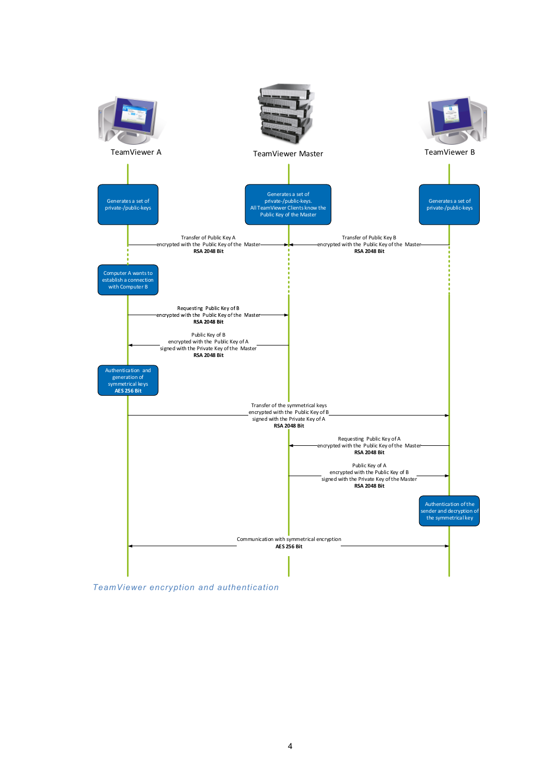

*TeamViewer encryption and authentication*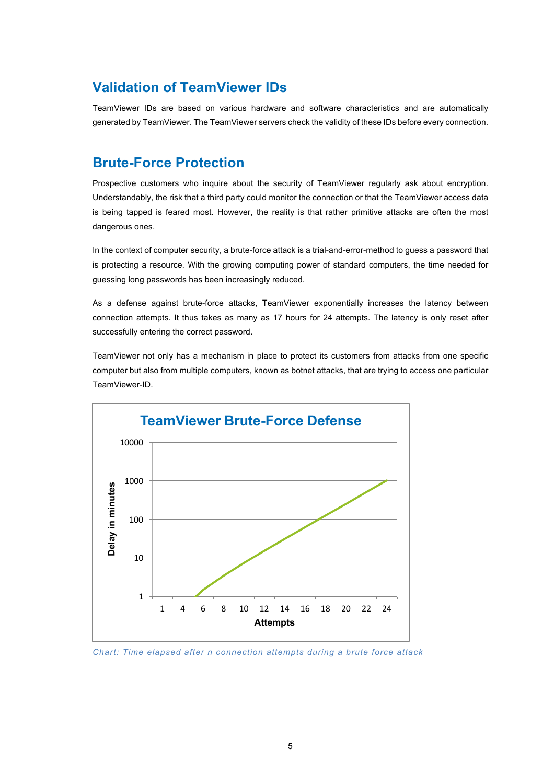## **Validation of TeamViewer IDs**

TeamViewer IDs are based on various hardware and software characteristics and are automatically generated by TeamViewer. The TeamViewer servers check the validity of these IDs before every connection.

# **Brute-Force Protection**

Prospective customers who inquire about the security of TeamViewer regularly ask about encryption. Understandably, the risk that a third party could monitor the connection or that the TeamViewer access data is being tapped is feared most. However, the reality is that rather primitive attacks are often the most dangerous ones.

In the context of computer security, a brute-force attack is a trial-and-error-method to guess a password that is protecting a resource. With the growing computing power of standard computers, the time needed for guessing long passwords has been increasingly reduced.

As a defense against brute-force attacks, TeamViewer exponentially increases the latency between connection attempts. It thus takes as many as 17 hours for 24 attempts. The latency is only reset after successfully entering the correct password.

TeamViewer not only has a mechanism in place to protect its customers from attacks from one specific computer but also from multiple computers, known as botnet attacks, that are trying to access one particular TeamViewer-ID.



*Chart: Time elapsed after n connection attempts during a brute force attack*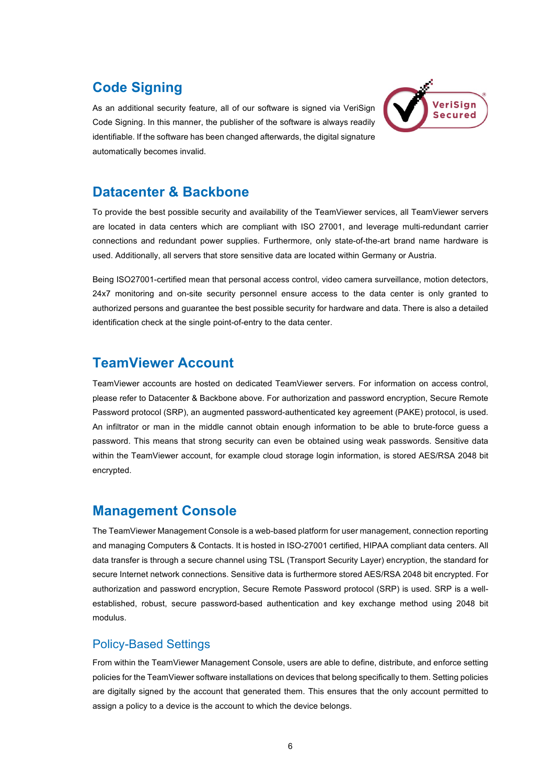# **Code Signing**

As an additional security feature, all of our software is signed via VeriSign Code Signing. In this manner, the publisher of the software is always readily identifiable. If the software has been changed afterwards, the digital signature automatically becomes invalid.



## **Datacenter & Backbone**

To provide the best possible security and availability of the TeamViewer services, all TeamViewer servers are located in data centers which are compliant with ISO 27001, and leverage multi-redundant carrier connections and redundant power supplies. Furthermore, only state-of-the-art brand name hardware is used. Additionally, all servers that store sensitive data are located within Germany or Austria.

Being ISO27001-certified mean that personal access control, video camera surveillance, motion detectors, 24x7 monitoring and on-site security personnel ensure access to the data center is only granted to authorized persons and guarantee the best possible security for hardware and data. There is also a detailed identification check at the single point-of-entry to the data center.

# **TeamViewer Account**

TeamViewer accounts are hosted on dedicated TeamViewer servers. For information on access control, please refer to Datacenter & Backbone above. For authorization and password encryption, Secure Remote Password protocol (SRP), an augmented password-authenticated key agreement (PAKE) protocol, is used. An infiltrator or man in the middle cannot obtain enough information to be able to brute-force guess a password. This means that strong security can even be obtained using weak passwords. Sensitive data within the TeamViewer account, for example cloud storage login information, is stored AES/RSA 2048 bit encrypted.

## **Management Console**

The TeamViewer Management Console is a web-based platform for user management, connection reporting and managing Computers & Contacts. It is hosted in ISO-27001 certified, HIPAA compliant data centers. All data transfer is through a secure channel using TSL (Transport Security Layer) encryption, the standard for secure Internet network connections. Sensitive data is furthermore stored AES/RSA 2048 bit encrypted. For authorization and password encryption, Secure Remote Password protocol (SRP) is used. SRP is a wellestablished, robust, secure password-based authentication and key exchange method using 2048 bit modulus.

## Policy-Based Settings

From within the TeamViewer Management Console, users are able to define, distribute, and enforce setting policies for the TeamViewer software installations on devices that belong specifically to them. Setting policies are digitally signed by the account that generated them. This ensures that the only account permitted to assign a policy to a device is the account to which the device belongs.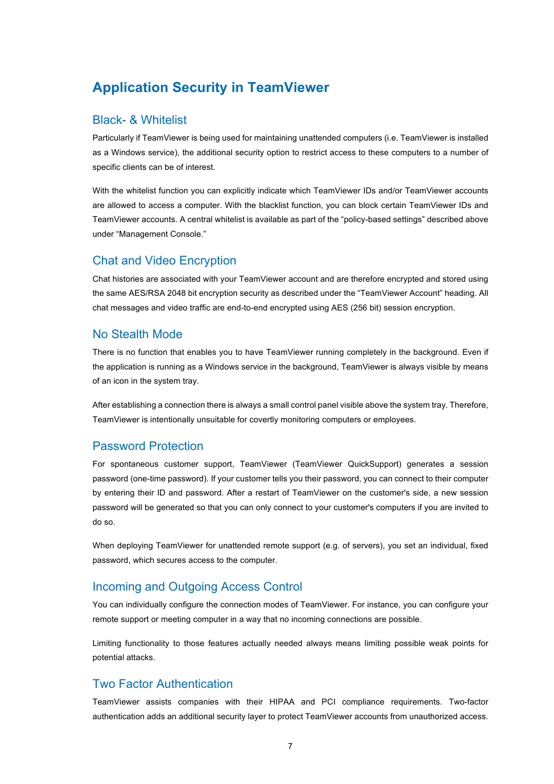# **Application Security in TeamViewer**

### Black- & Whitelist

Particularly if TeamViewer is being used for maintaining unattended computers (i.e. TeamViewer is installed as a Windows service), the additional security option to restrict access to these computers to a number of specific clients can be of interest.

With the whitelist function you can explicitly indicate which TeamViewer IDs and/or TeamViewer accounts are allowed to access a computer. With the blacklist function, you can block certain TeamViewer IDs and TeamViewer accounts. A central whitelist is available as part of the "policy-based settings" described above under "Management Console."

#### Chat and Video Encryption

Chat histories are associated with your TeamViewer account and are therefore encrypted and stored using the same AES/RSA 2048 bit encryption security as described under the "TeamViewer Account" heading. All chat messages and video traffic are end-to-end encrypted using AES (256 bit) session encryption.

#### No Stealth Mode

There is no function that enables you to have TeamViewer running completely in the background. Even if the application is running as a Windows service in the background, TeamViewer is always visible by means of an icon in the system tray.

After establishing a connection there is always a small control panel visible above the system tray. Therefore, TeamViewer is intentionally unsuitable for covertly monitoring computers or employees.

### Password Protection

For spontaneous customer support, TeamViewer (TeamViewer QuickSupport) generates a session password (one-time password). If your customer tells you their password, you can connect to their computer by entering their ID and password. After a restart of TeamViewer on the customer's side, a new session password will be generated so that you can only connect to your customer's computers if you are invited to do so.

When deploying TeamViewer for unattended remote support (e.g. of servers), you set an individual, fixed password, which secures access to the computer.

### Incoming and Outgoing Access Control

You can individually configure the connection modes of TeamViewer. For instance, you can configure your remote support or meeting computer in a way that no incoming connections are possible.

Limiting functionality to those features actually needed always means limiting possible weak points for potential attacks.

#### Two Factor Authentication

TeamViewer assists companies with their HIPAA and PCI compliance requirements. Two-factor authentication adds an additional security layer to protect TeamViewer accounts from unauthorized access.